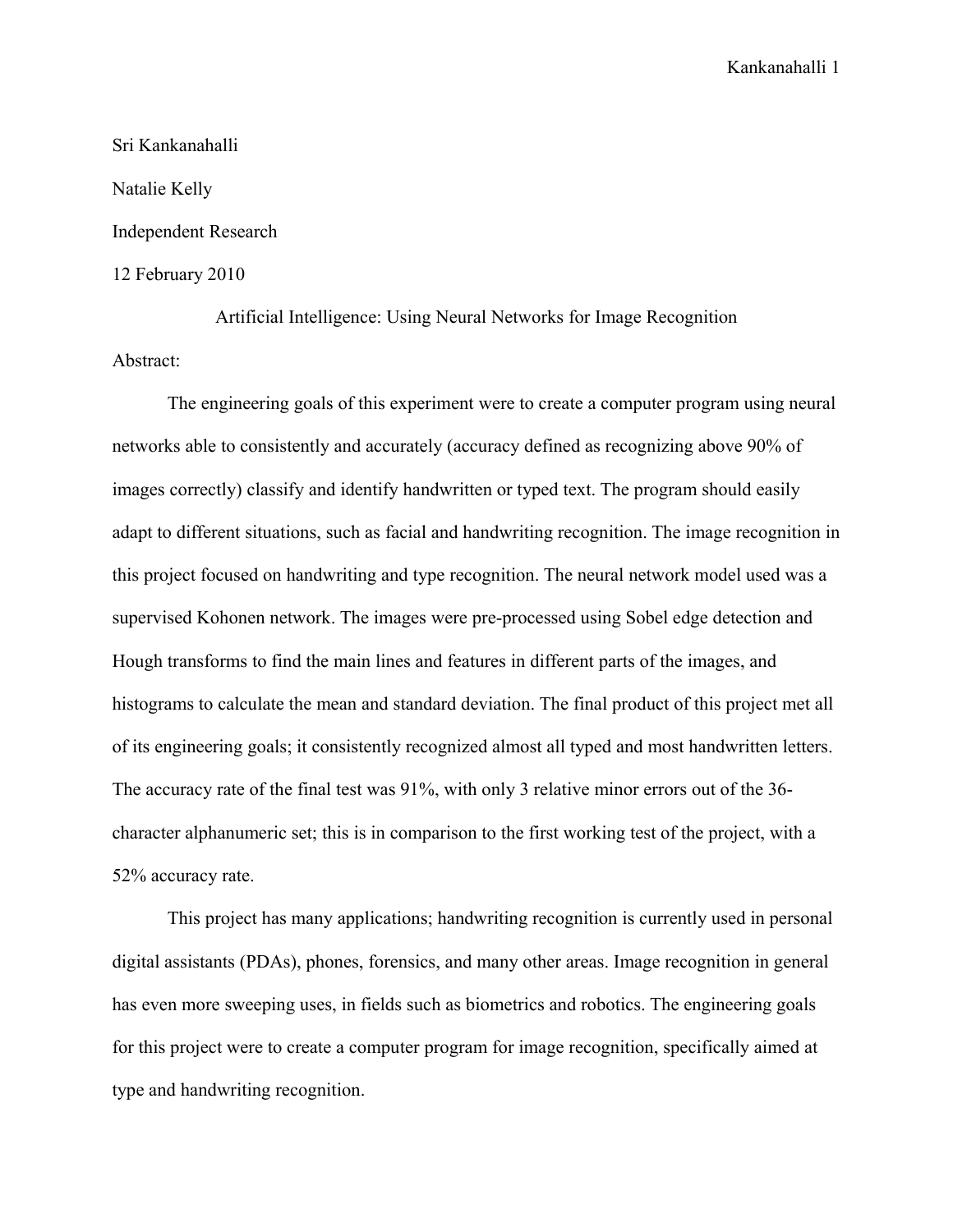## Sri Kankanahalli Natalie Kelly Independent Research 12 February 2010

Artificial Intelligence: Using Neural Networks for Image Recognition Abstract:

The engineering goals of this experiment were to create a computer program using neural networks able to consistently and accurately (accuracy defined as recognizing above 90% of images correctly) classify and identify handwritten or typed text. The program should easily adapt to different situations, such as facial and handwriting recognition. The image recognition in this project focused on handwriting and type recognition. The neural network model used was a supervised Kohonen network. The images were pre-processed using Sobel edge detection and Hough transforms to find the main lines and features in different parts of the images, and histograms to calculate the mean and standard deviation. The final product of this project met all of its engineering goals; it consistently recognized almost all typed and most handwritten letters. The accuracy rate of the final test was 91%, with only 3 relative minor errors out of the 36 character alphanumeric set; this is in comparison to the first working test of the project, with a 52% accuracy rate.

This project has many applications; handwriting recognition is currently used in personal digital assistants (PDAs), phones, forensics, and many other areas. Image recognition in general has even more sweeping uses, in fields such as biometrics and robotics. The engineering goals for this project were to create a computer program for image recognition, specifically aimed at type and handwriting recognition.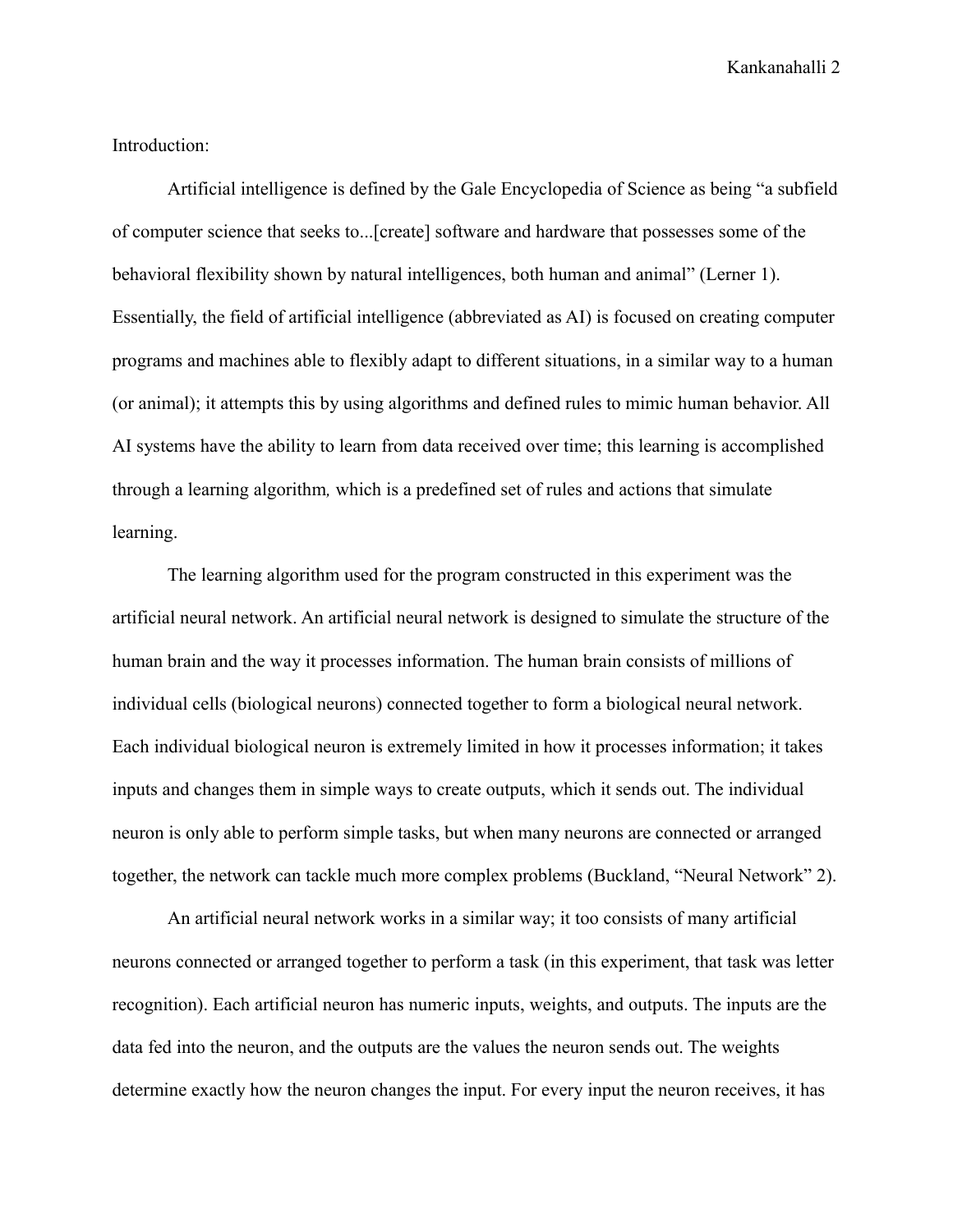Introduction:

Artificial intelligence is defined by the Gale Encyclopedia of Science as being "a subfield of computer science that seeks to...[create] software and hardware that possesses some of the behavioral flexibility shown by natural intelligences, both human and animal" (Lerner 1). Essentially, the field of artificial intelligence (abbreviated as AI) is focused on creating computer programs and machines able to flexibly adapt to different situations, in a similar way to a human (or animal); it attempts this by using algorithms and defined rules to mimic human behavior. All AI systems have the ability to learn from data received over time; this learning is accomplished through a learning algorithm*,* which is a predefined set of rules and actions that simulate learning.

The learning algorithm used for the program constructed in this experiment was the artificial neural network. An artificial neural network is designed to simulate the structure of the human brain and the way it processes information. The human brain consists of millions of individual cells (biological neurons) connected together to form a biological neural network. Each individual biological neuron is extremely limited in how it processes information; it takes inputs and changes them in simple ways to create outputs, which it sends out. The individual neuron is only able to perform simple tasks, but when many neurons are connected or arranged together, the network can tackle much more complex problems (Buckland, "Neural Network" 2).

An artificial neural network works in a similar way; it too consists of many artificial neurons connected or arranged together to perform a task (in this experiment, that task was letter recognition). Each artificial neuron has numeric inputs, weights, and outputs. The inputs are the data fed into the neuron, and the outputs are the values the neuron sends out. The weights determine exactly how the neuron changes the input. For every input the neuron receives, it has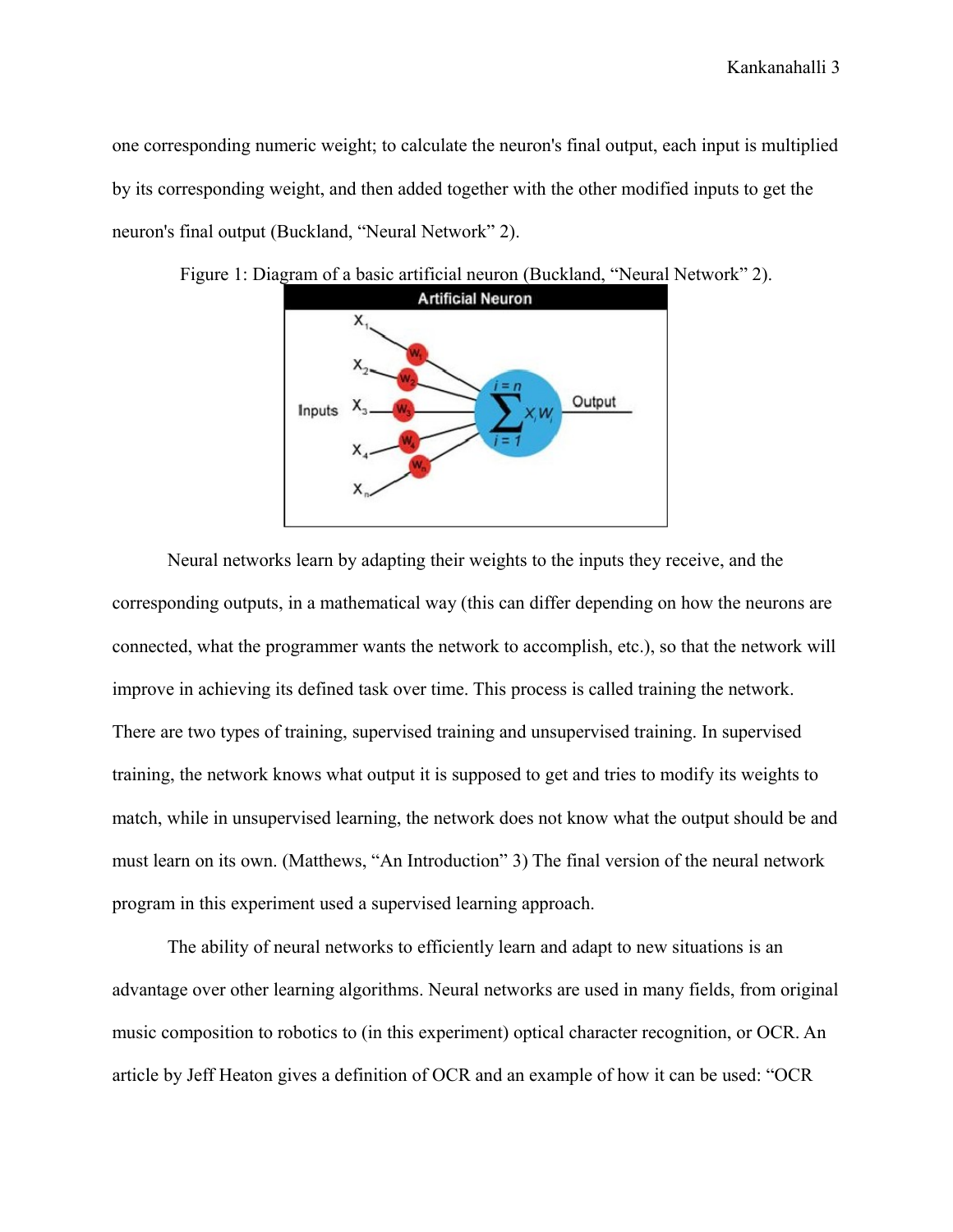one corresponding numeric weight; to calculate the neuron's final output, each input is multiplied by its corresponding weight, and then added together with the other modified inputs to get the neuron's final output (Buckland, "Neural Network" 2).



Figure 1: Diagram of a basic artificial neuron (Buckland, "Neural Network" 2).

Neural networks learn by adapting their weights to the inputs they receive, and the corresponding outputs, in a mathematical way (this can differ depending on how the neurons are connected, what the programmer wants the network to accomplish, etc.), so that the network will improve in achieving its defined task over time. This process is called training the network. There are two types of training, supervised training and unsupervised training. In supervised training, the network knows what output it is supposed to get and tries to modify its weights to match, while in unsupervised learning, the network does not know what the output should be and must learn on its own. (Matthews, "An Introduction" 3) The final version of the neural network program in this experiment used a supervised learning approach.

The ability of neural networks to efficiently learn and adapt to new situations is an advantage over other learning algorithms. Neural networks are used in many fields, from original music composition to robotics to (in this experiment) optical character recognition, or OCR. An article by Jeff Heaton gives a definition of OCR and an example of how it can be used: "OCR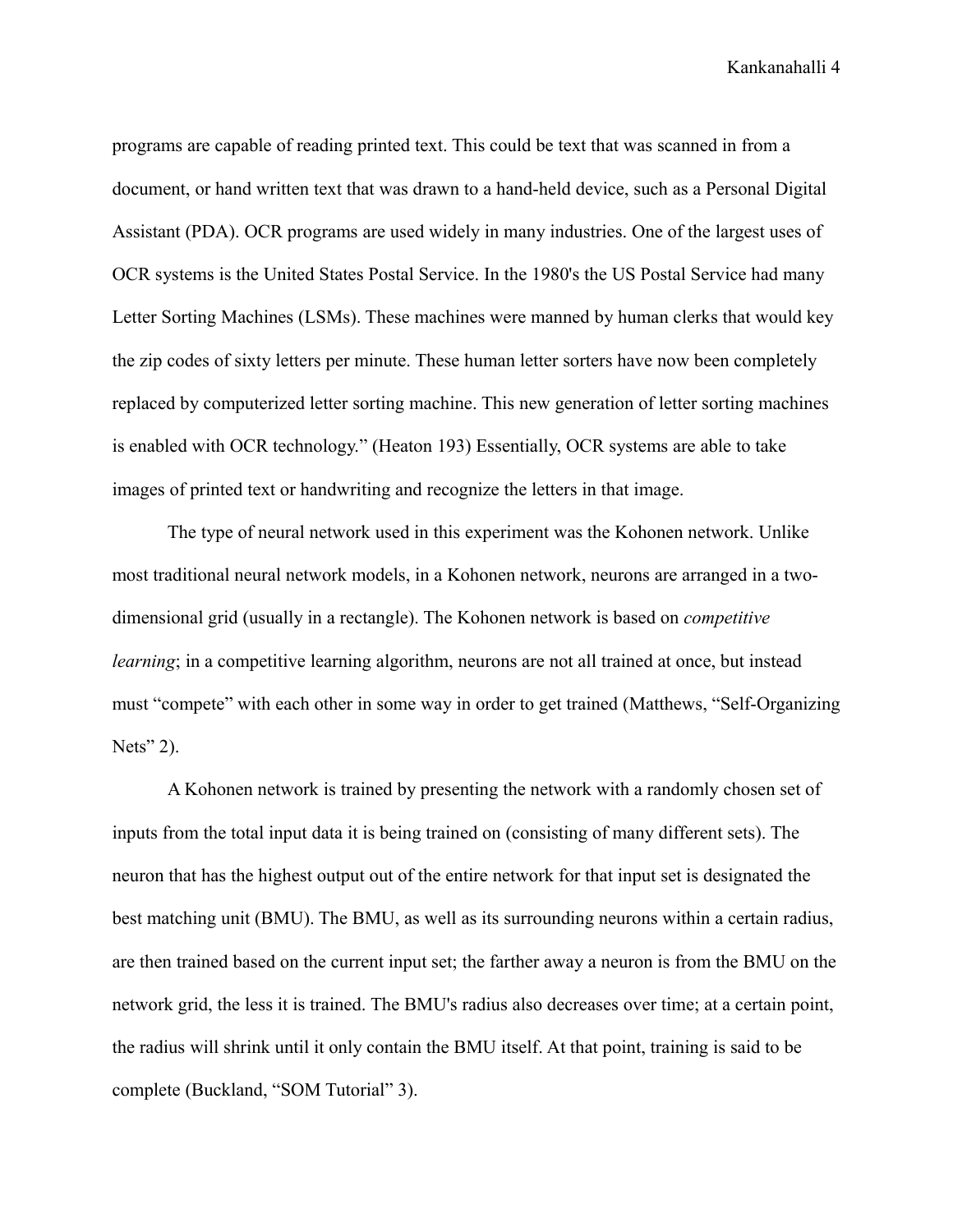programs are capable of reading printed text. This could be text that was scanned in from a document, or hand written text that was drawn to a hand-held device, such as a Personal Digital Assistant (PDA). OCR programs are used widely in many industries. One of the largest uses of OCR systems is the United States Postal Service. In the 1980's the US Postal Service had many Letter Sorting Machines (LSMs). These machines were manned by human clerks that would key the zip codes of sixty letters per minute. These human letter sorters have now been completely replaced by computerized letter sorting machine. This new generation of letter sorting machines is enabled with OCR technology." (Heaton 193) Essentially, OCR systems are able to take images of printed text or handwriting and recognize the letters in that image.

The type of neural network used in this experiment was the Kohonen network. Unlike most traditional neural network models, in a Kohonen network, neurons are arranged in a twodimensional grid (usually in a rectangle). The Kohonen network is based on *competitive learning*; in a competitive learning algorithm, neurons are not all trained at once, but instead must "compete" with each other in some way in order to get trained (Matthews, "Self-Organizing Nets" 2).

A Kohonen network is trained by presenting the network with a randomly chosen set of inputs from the total input data it is being trained on (consisting of many different sets). The neuron that has the highest output out of the entire network for that input set is designated the best matching unit (BMU). The BMU, as well as its surrounding neurons within a certain radius, are then trained based on the current input set; the farther away a neuron is from the BMU on the network grid, the less it is trained. The BMU's radius also decreases over time; at a certain point, the radius will shrink until it only contain the BMU itself. At that point, training is said to be complete (Buckland, "SOM Tutorial" 3).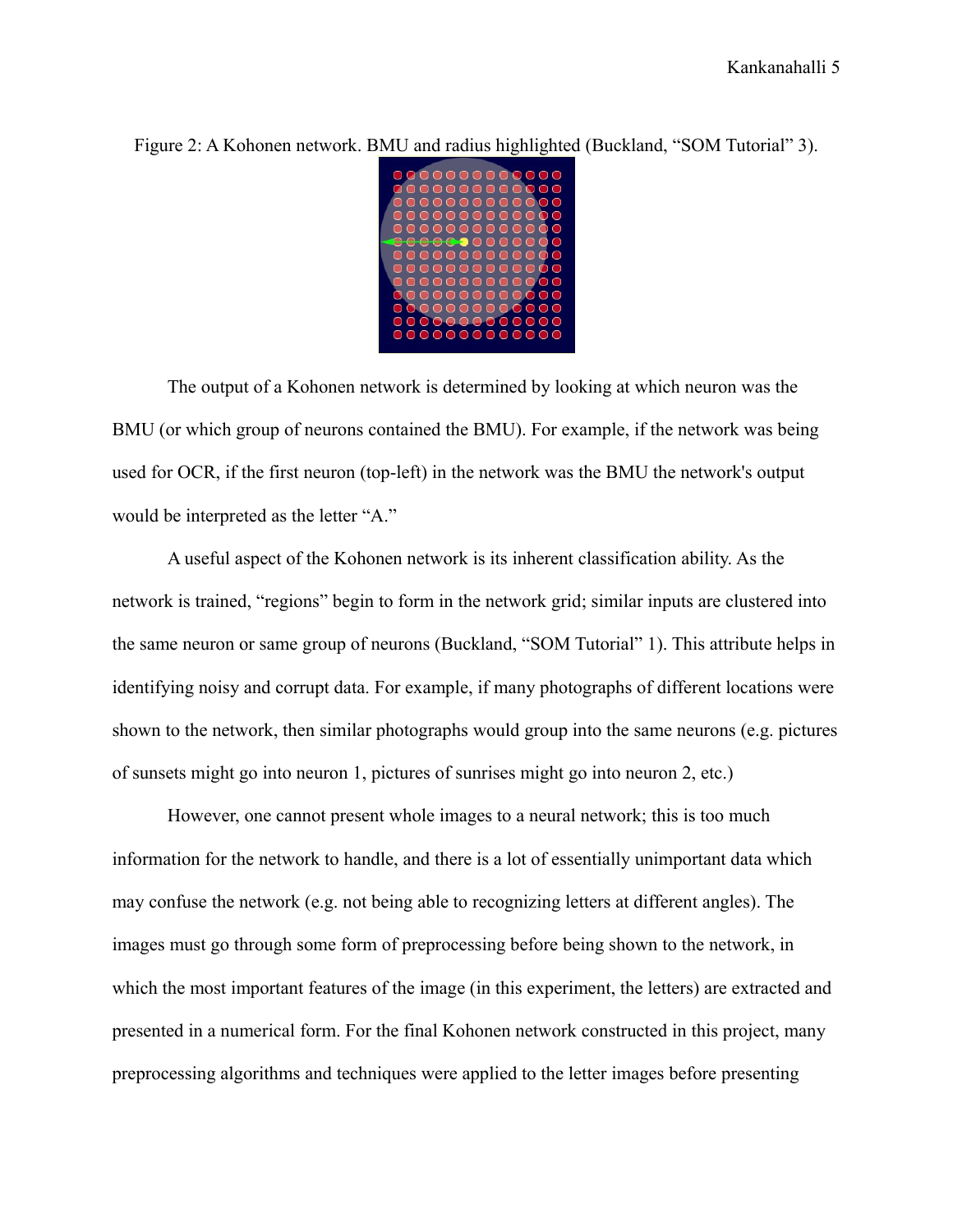Figure 2: A Kohonen network. BMU and radius highlighted (Buckland, "SOM Tutorial" 3).

The output of a Kohonen network is determined by looking at which neuron was the BMU (or which group of neurons contained the BMU). For example, if the network was being used for OCR, if the first neuron (top-left) in the network was the BMU the network's output would be interpreted as the letter "A."

A useful aspect of the Kohonen network is its inherent classification ability. As the network is trained, "regions" begin to form in the network grid; similar inputs are clustered into the same neuron or same group of neurons (Buckland, "SOM Tutorial" 1). This attribute helps in identifying noisy and corrupt data. For example, if many photographs of different locations were shown to the network, then similar photographs would group into the same neurons (e.g. pictures of sunsets might go into neuron 1, pictures of sunrises might go into neuron 2, etc.)

However, one cannot present whole images to a neural network; this is too much information for the network to handle, and there is a lot of essentially unimportant data which may confuse the network (e.g. not being able to recognizing letters at different angles). The images must go through some form of preprocessing before being shown to the network, in which the most important features of the image (in this experiment, the letters) are extracted and presented in a numerical form. For the final Kohonen network constructed in this project, many preprocessing algorithms and techniques were applied to the letter images before presenting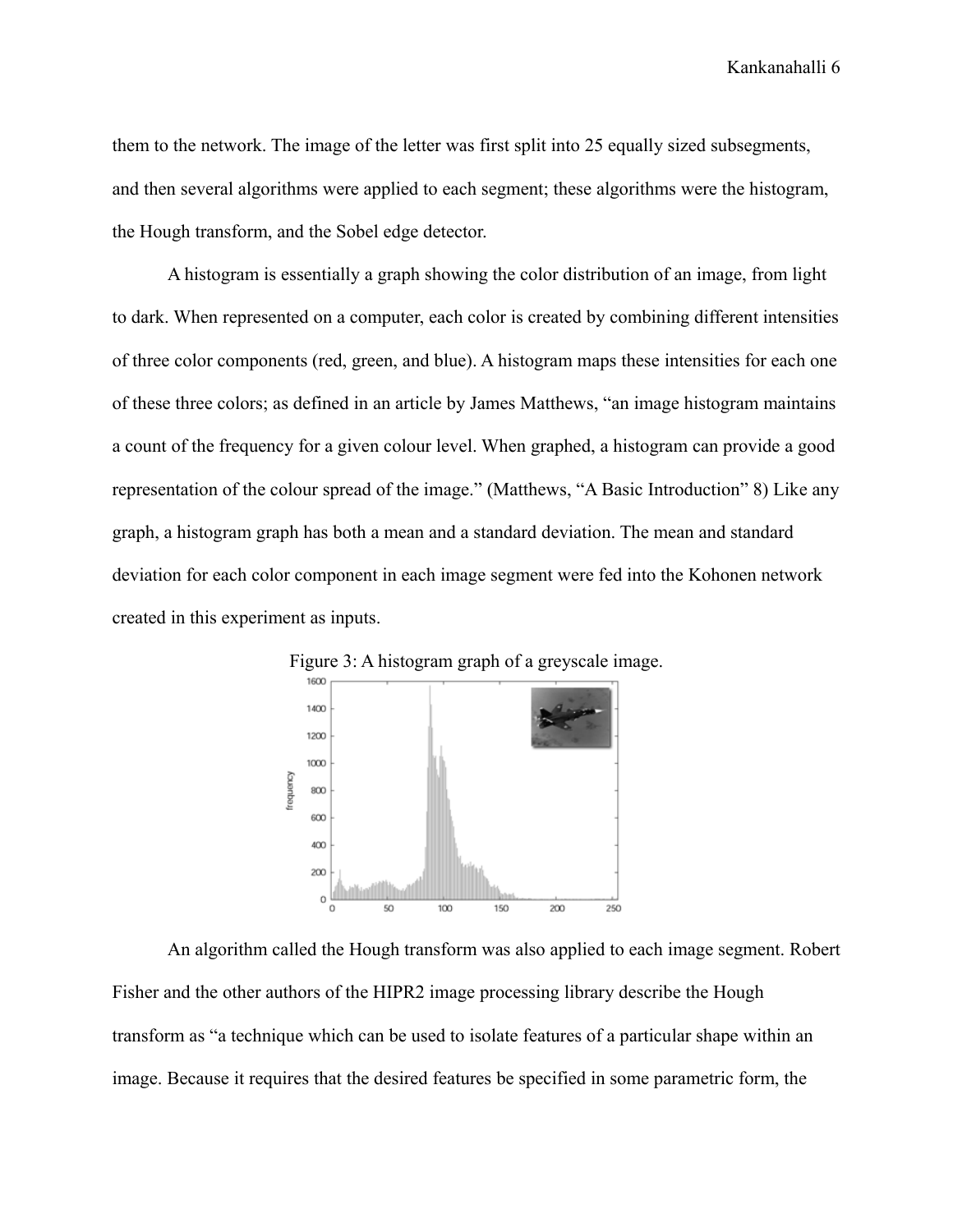them to the network. The image of the letter was first split into 25 equally sized subsegments, and then several algorithms were applied to each segment; these algorithms were the histogram, the Hough transform, and the Sobel edge detector.

A histogram is essentially a graph showing the color distribution of an image, from light to dark. When represented on a computer, each color is created by combining different intensities of three color components (red, green, and blue). A histogram maps these intensities for each one of these three colors; as defined in an article by James Matthews, "an image histogram maintains a count of the frequency for a given colour level. When graphed, a histogram can provide a good representation of the colour spread of the image." (Matthews, "A Basic Introduction" 8) Like any graph, a histogram graph has both a mean and a standard deviation. The mean and standard deviation for each color component in each image segment were fed into the Kohonen network created in this experiment as inputs.





An algorithm called the Hough transform was also applied to each image segment. Robert Fisher and the other authors of the HIPR2 image processing library describe the Hough transform as "a technique which can be used to isolate features of a particular shape within an image. Because it requires that the desired features be specified in some parametric form, the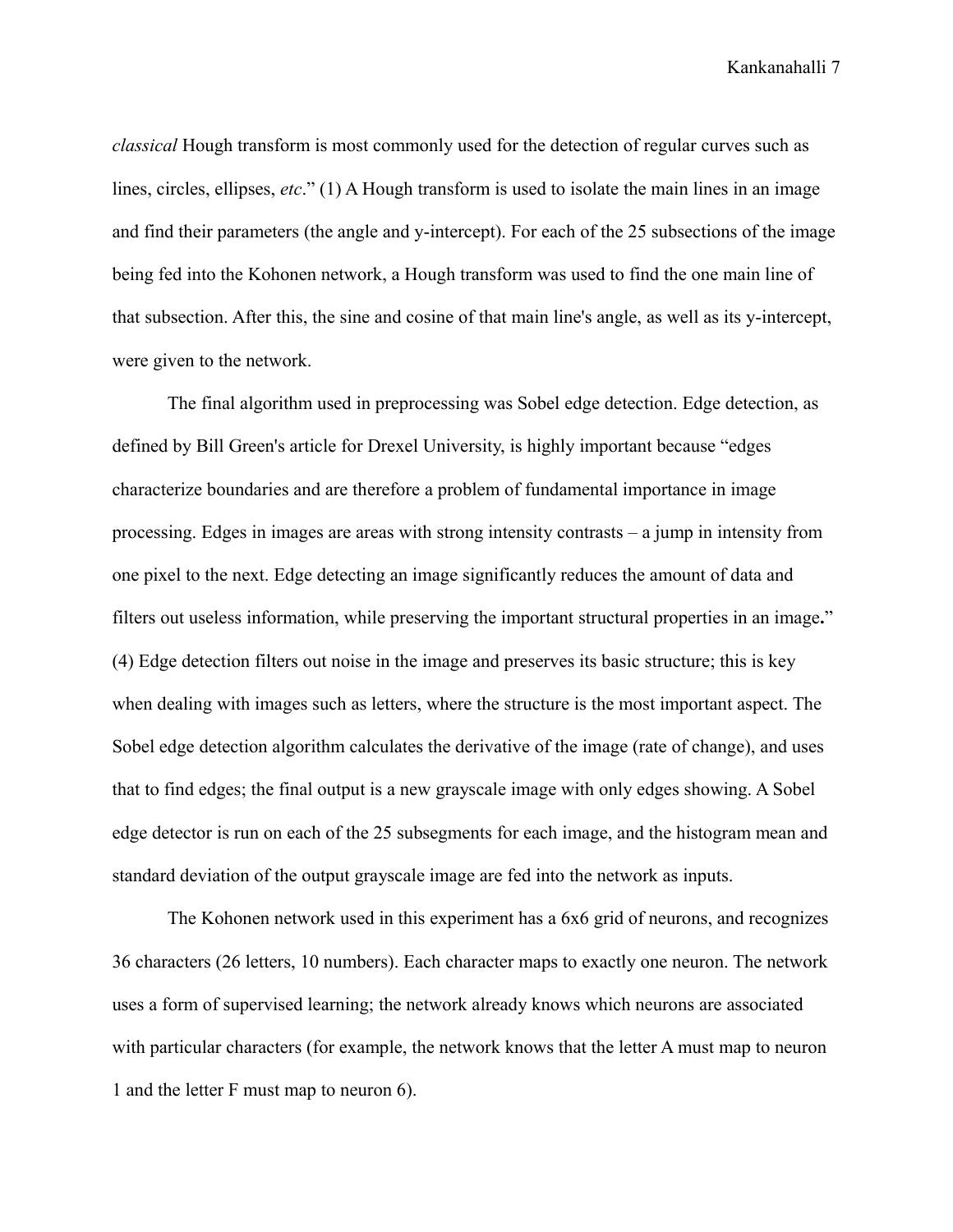*classical* Hough transform is most commonly used for the detection of regular curves such as lines, circles, ellipses, *etc*." (1) A Hough transform is used to isolate the main lines in an image and find their parameters (the angle and y-intercept). For each of the 25 subsections of the image being fed into the Kohonen network, a Hough transform was used to find the one main line of that subsection. After this, the sine and cosine of that main line's angle, as well as its y-intercept, were given to the network.

The final algorithm used in preprocessing was Sobel edge detection. Edge detection, as defined by Bill Green's article for Drexel University, is highly important because "edges characterize boundaries and are therefore a problem of fundamental importance in image processing. Edges in images are areas with strong intensity contrasts – a jump in intensity from one pixel to the next. Edge detecting an image significantly reduces the amount of data and filters out useless information, while preserving the important structural properties in an image**.**" (4) Edge detection filters out noise in the image and preserves its basic structure; this is key when dealing with images such as letters, where the structure is the most important aspect. The Sobel edge detection algorithm calculates the derivative of the image (rate of change), and uses that to find edges; the final output is a new grayscale image with only edges showing. A Sobel edge detector is run on each of the 25 subsegments for each image, and the histogram mean and standard deviation of the output grayscale image are fed into the network as inputs.

The Kohonen network used in this experiment has a 6x6 grid of neurons, and recognizes 36 characters (26 letters, 10 numbers). Each character maps to exactly one neuron. The network uses a form of supervised learning; the network already knows which neurons are associated with particular characters (for example, the network knows that the letter A must map to neuron 1 and the letter F must map to neuron 6).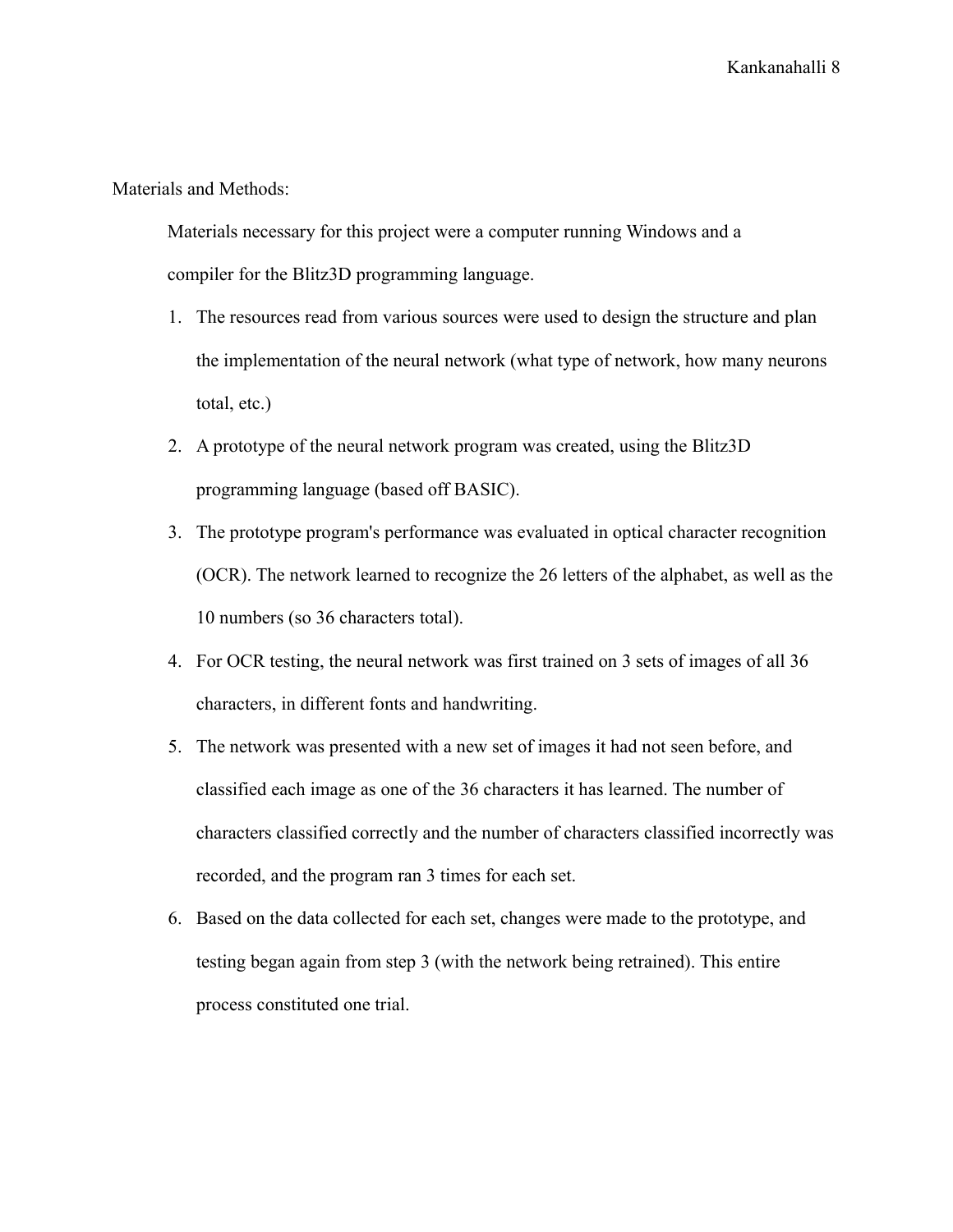Materials and Methods:

Materials necessary for this project were a computer running Windows and a compiler for the Blitz3D programming language.

- 1. The resources read from various sources were used to design the structure and plan the implementation of the neural network (what type of network, how many neurons total, etc.)
- 2. A prototype of the neural network program was created, using the Blitz3D programming language (based off BASIC).
- 3. The prototype program's performance was evaluated in optical character recognition (OCR). The network learned to recognize the 26 letters of the alphabet, as well as the 10 numbers (so 36 characters total).
- 4. For OCR testing, the neural network was first trained on 3 sets of images of all 36 characters, in different fonts and handwriting.
- 5. The network was presented with a new set of images it had not seen before, and classified each image as one of the 36 characters it has learned. The number of characters classified correctly and the number of characters classified incorrectly was recorded, and the program ran 3 times for each set.
- 6. Based on the data collected for each set, changes were made to the prototype, and testing began again from step 3 (with the network being retrained). This entire process constituted one trial.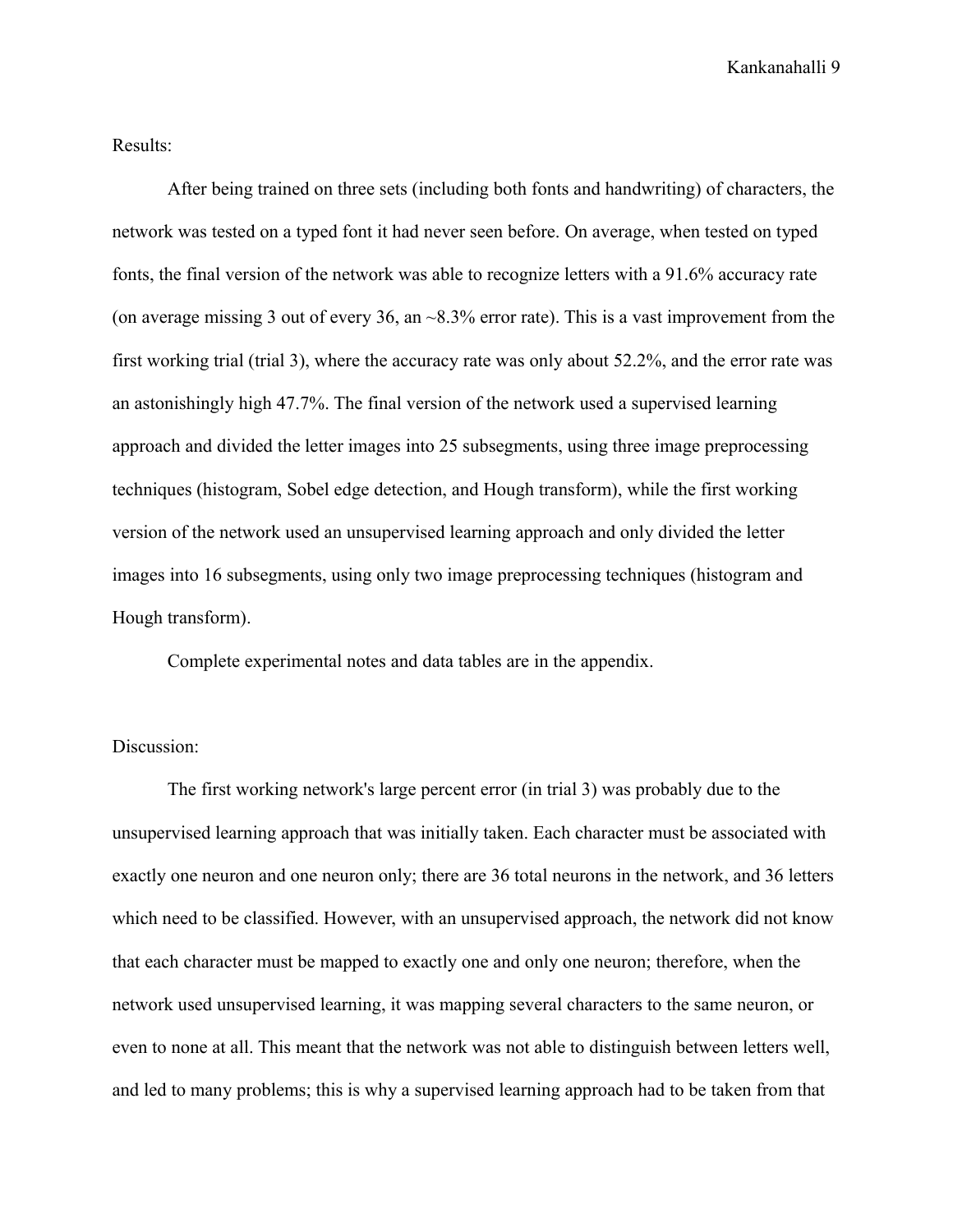Results:

After being trained on three sets (including both fonts and handwriting) of characters, the network was tested on a typed font it had never seen before. On average, when tested on typed fonts, the final version of the network was able to recognize letters with a 91.6% accuracy rate (on average missing 3 out of every 36, an  $\sim$ 8.3% error rate). This is a vast improvement from the first working trial (trial 3), where the accuracy rate was only about 52.2%, and the error rate was an astonishingly high 47.7%. The final version of the network used a supervised learning approach and divided the letter images into 25 subsegments, using three image preprocessing techniques (histogram, Sobel edge detection, and Hough transform), while the first working version of the network used an unsupervised learning approach and only divided the letter images into 16 subsegments, using only two image preprocessing techniques (histogram and Hough transform).

Complete experimental notes and data tables are in the appendix.

## Discussion:

The first working network's large percent error (in trial 3) was probably due to the unsupervised learning approach that was initially taken. Each character must be associated with exactly one neuron and one neuron only; there are 36 total neurons in the network, and 36 letters which need to be classified. However, with an unsupervised approach, the network did not know that each character must be mapped to exactly one and only one neuron; therefore, when the network used unsupervised learning, it was mapping several characters to the same neuron, or even to none at all. This meant that the network was not able to distinguish between letters well, and led to many problems; this is why a supervised learning approach had to be taken from that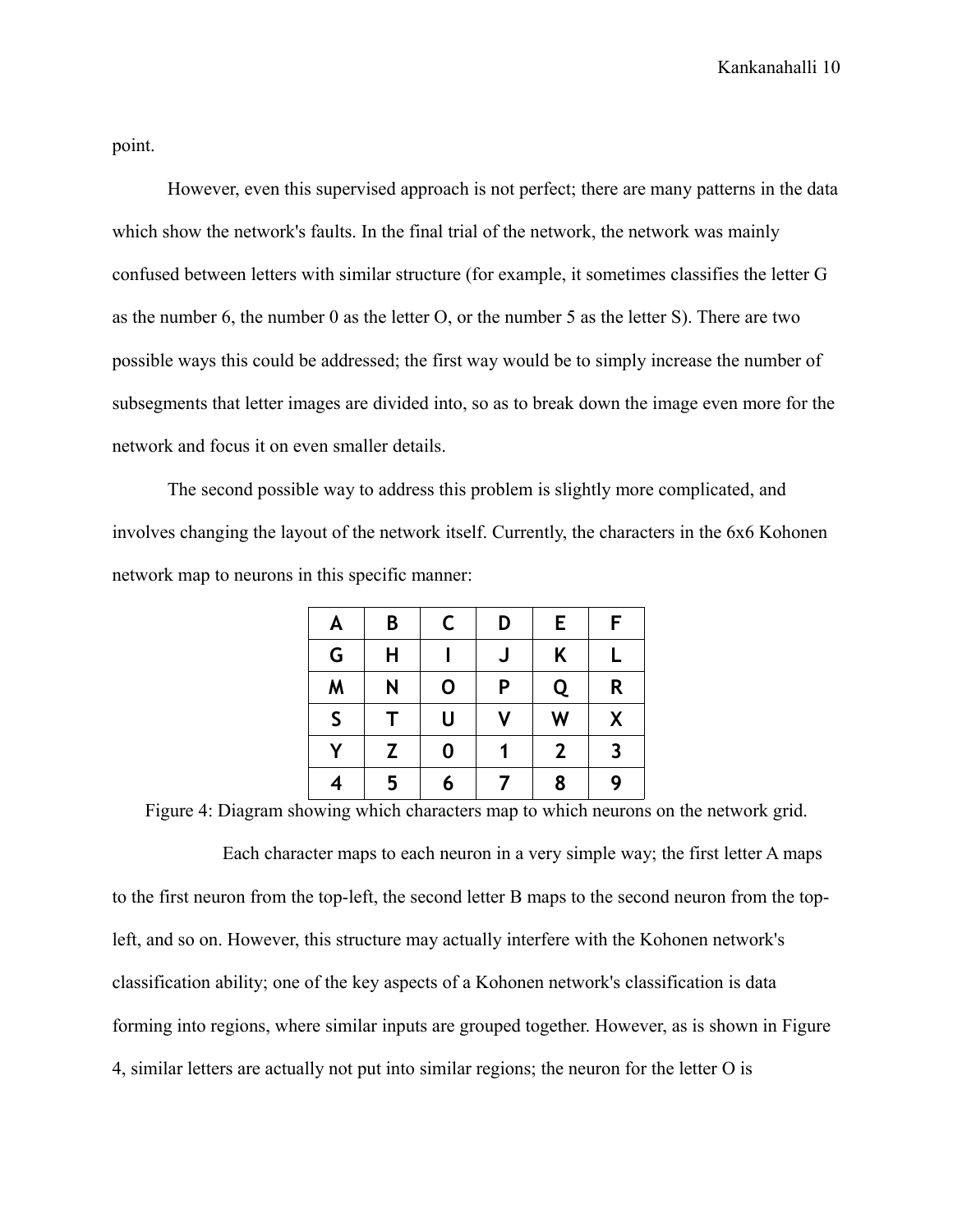point.

However, even this supervised approach is not perfect; there are many patterns in the data which show the network's faults. In the final trial of the network, the network was mainly confused between letters with similar structure (for example, it sometimes classifies the letter G as the number 6, the number 0 as the letter O, or the number 5 as the letter S). There are two possible ways this could be addressed; the first way would be to simply increase the number of subsegments that letter images are divided into, so as to break down the image even more for the network and focus it on even smaller details.

The second possible way to address this problem is slightly more complicated, and involves changing the layout of the network itself. Currently, the characters in the 6x6 Kohonen network map to neurons in this specific manner:

| A            | B | C        | D | Е            | F                       |
|--------------|---|----------|---|--------------|-------------------------|
| G            | Н |          | J | Κ            | L                       |
| M            | N | 0        | P | Q            | R                       |
| $\mathsf{S}$ | т | U        | V | W            | χ                       |
| Y            | Z | $\bf{0}$ |   | $\mathbf{2}$ | $\overline{\mathbf{3}}$ |
|              | 5 | 6        | 7 | 8            | 9                       |

Figure 4: Diagram showing which characters map to which neurons on the network grid.

Each character maps to each neuron in a very simple way; the first letter A maps to the first neuron from the top-left, the second letter B maps to the second neuron from the topleft, and so on. However, this structure may actually interfere with the Kohonen network's classification ability; one of the key aspects of a Kohonen network's classification is data forming into regions, where similar inputs are grouped together. However, as is shown in Figure 4, similar letters are actually not put into similar regions; the neuron for the letter O is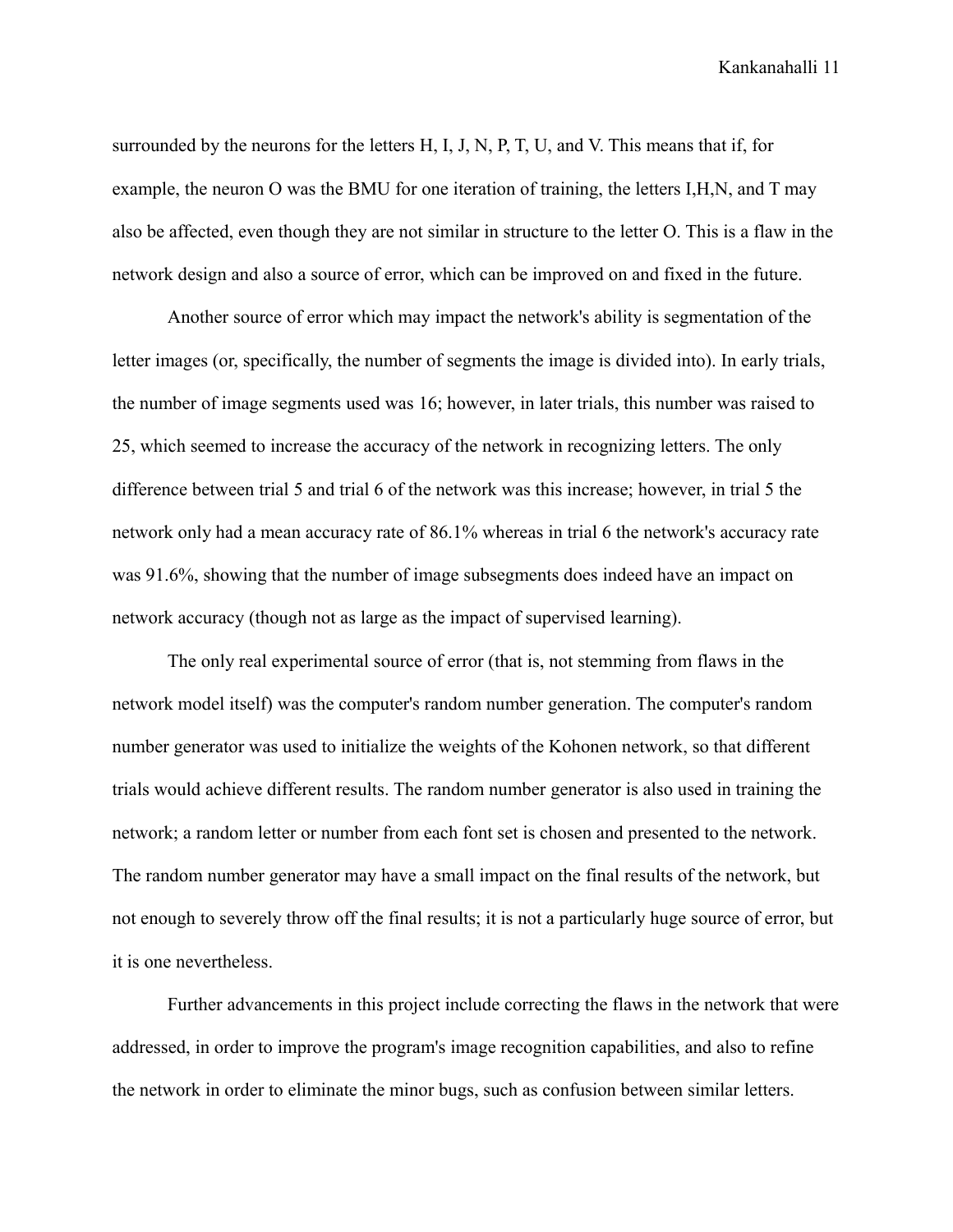surrounded by the neurons for the letters H, I, J, N, P, T, U, and V. This means that if, for example, the neuron O was the BMU for one iteration of training, the letters I,H,N, and T may also be affected, even though they are not similar in structure to the letter O. This is a flaw in the network design and also a source of error, which can be improved on and fixed in the future.

Another source of error which may impact the network's ability is segmentation of the letter images (or, specifically, the number of segments the image is divided into). In early trials, the number of image segments used was 16; however, in later trials, this number was raised to 25, which seemed to increase the accuracy of the network in recognizing letters. The only difference between trial 5 and trial 6 of the network was this increase; however, in trial 5 the network only had a mean accuracy rate of 86.1% whereas in trial 6 the network's accuracy rate was 91.6%, showing that the number of image subsegments does indeed have an impact on network accuracy (though not as large as the impact of supervised learning).

The only real experimental source of error (that is, not stemming from flaws in the network model itself) was the computer's random number generation. The computer's random number generator was used to initialize the weights of the Kohonen network, so that different trials would achieve different results. The random number generator is also used in training the network; a random letter or number from each font set is chosen and presented to the network. The random number generator may have a small impact on the final results of the network, but not enough to severely throw off the final results; it is not a particularly huge source of error, but it is one nevertheless.

Further advancements in this project include correcting the flaws in the network that were addressed, in order to improve the program's image recognition capabilities, and also to refine the network in order to eliminate the minor bugs, such as confusion between similar letters.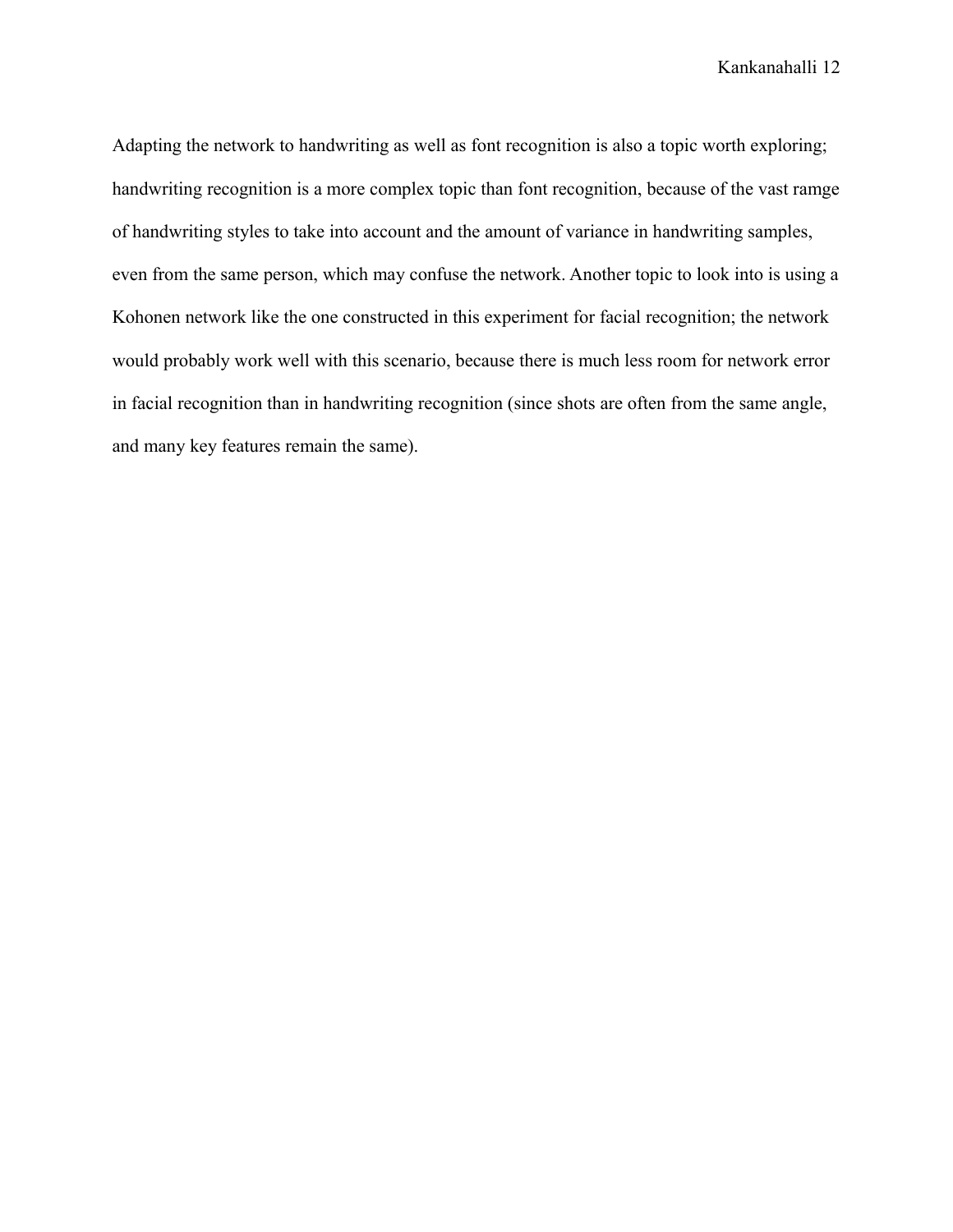Adapting the network to handwriting as well as font recognition is also a topic worth exploring; handwriting recognition is a more complex topic than font recognition, because of the vast ramge of handwriting styles to take into account and the amount of variance in handwriting samples, even from the same person, which may confuse the network. Another topic to look into is using a Kohonen network like the one constructed in this experiment for facial recognition; the network would probably work well with this scenario, because there is much less room for network error in facial recognition than in handwriting recognition (since shots are often from the same angle, and many key features remain the same).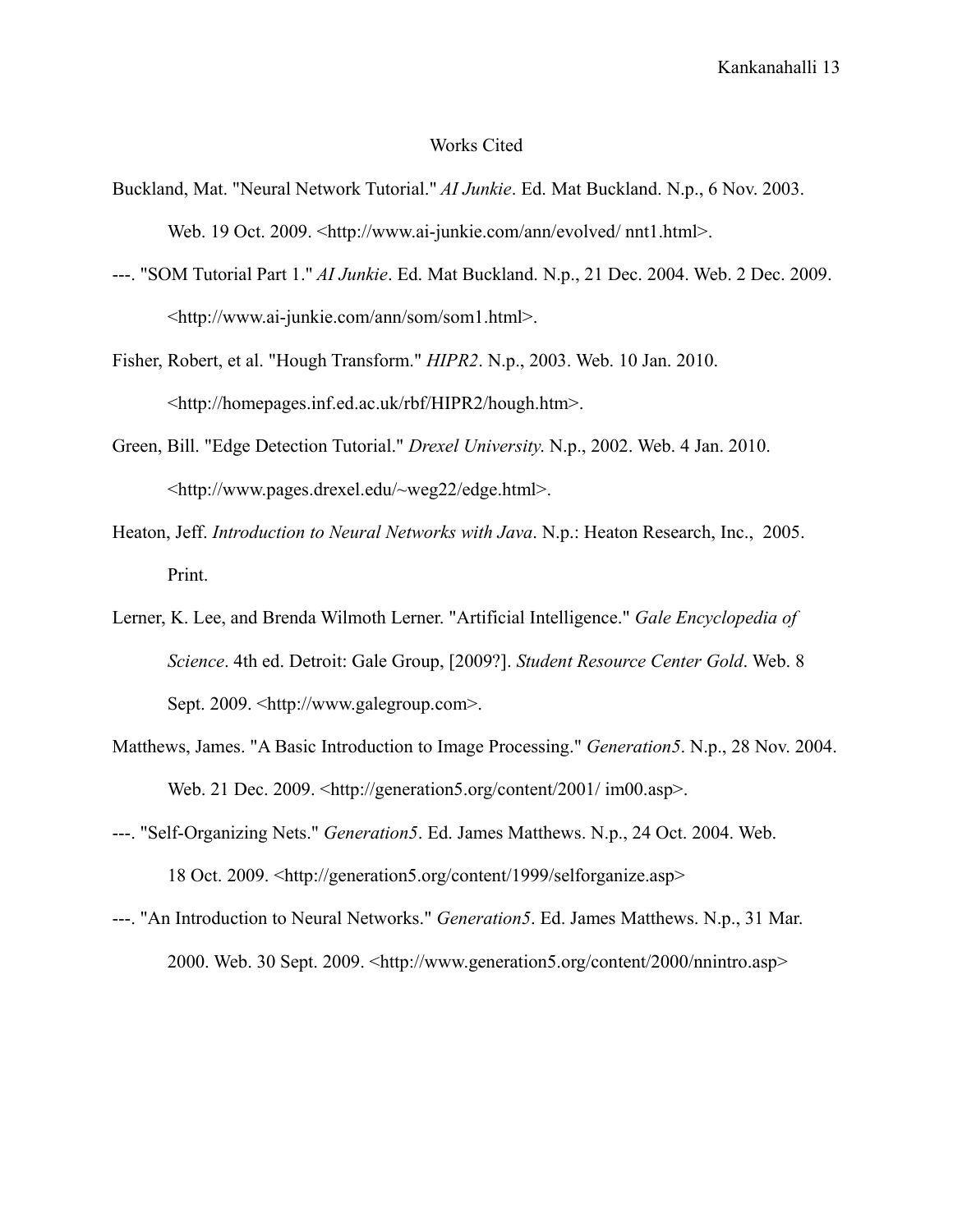## Works Cited

- Buckland, Mat. "Neural Network Tutorial." *AI Junkie*. Ed. Mat Buckland. N.p., 6 Nov. 2003. Web. 19 Oct. 2009. <http://www.ai-junkie.com/ann/evolved/ nnt1.html>.
- ---. "SOM Tutorial Part 1." *AI Junkie*. Ed. Mat Buckland. N.p., 21 Dec. 2004. Web. 2 Dec. 2009. <http://www.ai-junkie.com/ann/som/som1.html>.
- Fisher, Robert, et al. "Hough Transform." *HIPR2*. N.p., 2003. Web. 10 Jan. 2010. <http://homepages.inf.ed.ac.uk/rbf/HIPR2/hough.htm>.
- Green, Bill. "Edge Detection Tutorial." *Drexel University*. N.p., 2002. Web. 4 Jan. 2010. <http://www.pages.drexel.edu/~weg22/edge.html>.
- Heaton, Jeff. *Introduction to Neural Networks with Java*. N.p.: Heaton Research, Inc., 2005. Print.
- Lerner, K. Lee, and Brenda Wilmoth Lerner. "Artificial Intelligence." *Gale Encyclopedia of Science*. 4th ed. Detroit: Gale Group, [2009?]. *Student Resource Center Gold*. Web. 8 Sept. 2009. <http://www.galegroup.com>.
- Matthews, James. "A Basic Introduction to Image Processing." *Generation5*. N.p., 28 Nov. 2004. Web. 21 Dec. 2009. <http://generation5.org/content/2001/ im00.asp>.
- ---. "Self-Organizing Nets." *Generation5*. Ed. James Matthews. N.p., 24 Oct. 2004. Web. 18 Oct. 2009. <http://generation5.org/content/1999/selforganize.asp>
- ---. "An Introduction to Neural Networks." *Generation5*. Ed. James Matthews. N.p., 31 Mar. 2000. Web. 30 Sept. 2009. <http://www.generation5.org/content/2000/nnintro.asp>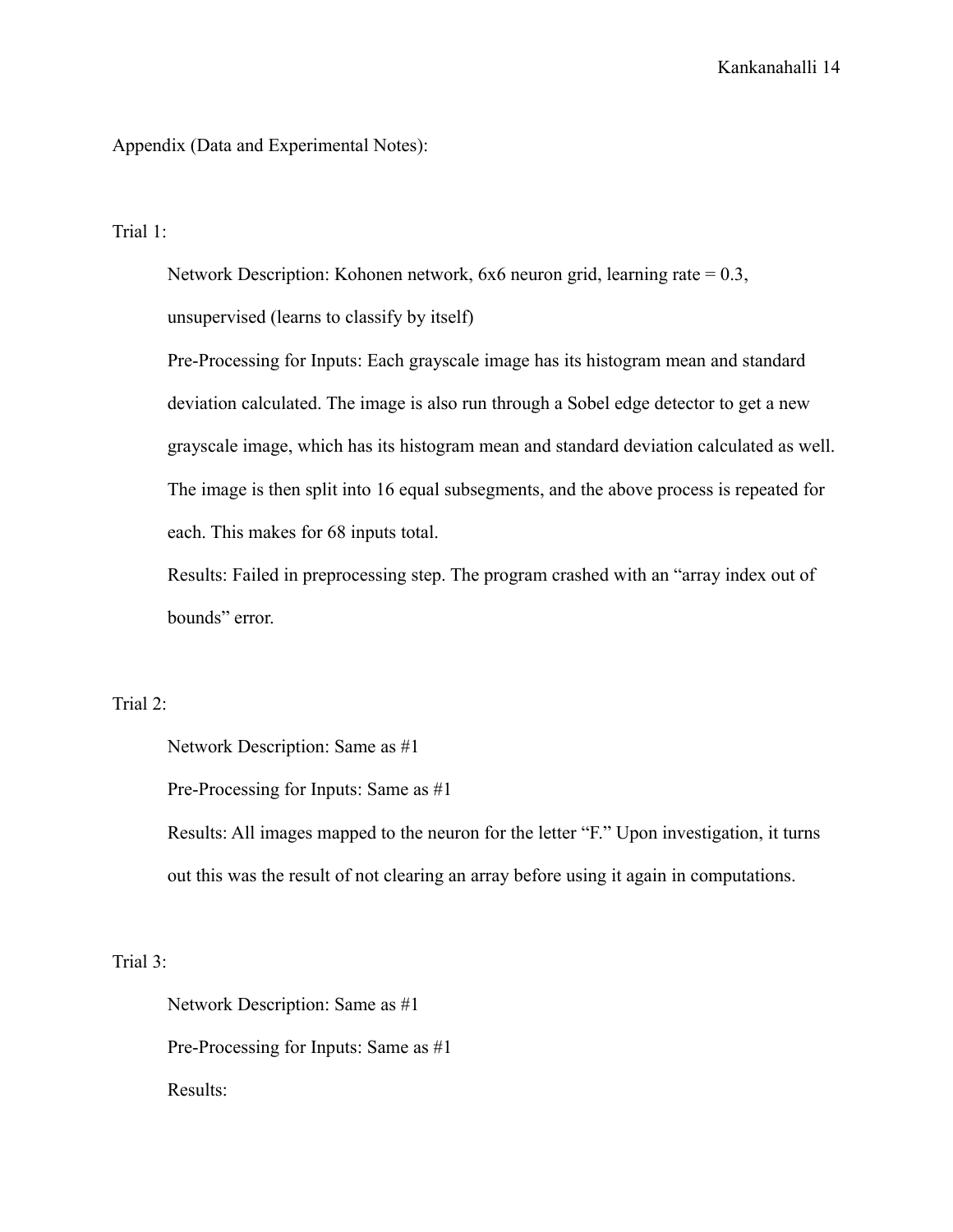Appendix (Data and Experimental Notes):

Trial 1:

Network Description: Kohonen network, 6x6 neuron grid, learning rate = 0.3, unsupervised (learns to classify by itself)

Pre-Processing for Inputs: Each grayscale image has its histogram mean and standard deviation calculated. The image is also run through a Sobel edge detector to get a new grayscale image, which has its histogram mean and standard deviation calculated as well. The image is then split into 16 equal subsegments, and the above process is repeated for each. This makes for 68 inputs total.

Results: Failed in preprocessing step. The program crashed with an "array index out of bounds" error.

Trial 2:

Network Description: Same as #1

Pre-Processing for Inputs: Same as #1

Results: All images mapped to the neuron for the letter "F." Upon investigation, it turns out this was the result of not clearing an array before using it again in computations.

Trial 3:

Network Description: Same as #1 Pre-Processing for Inputs: Same as #1 Results: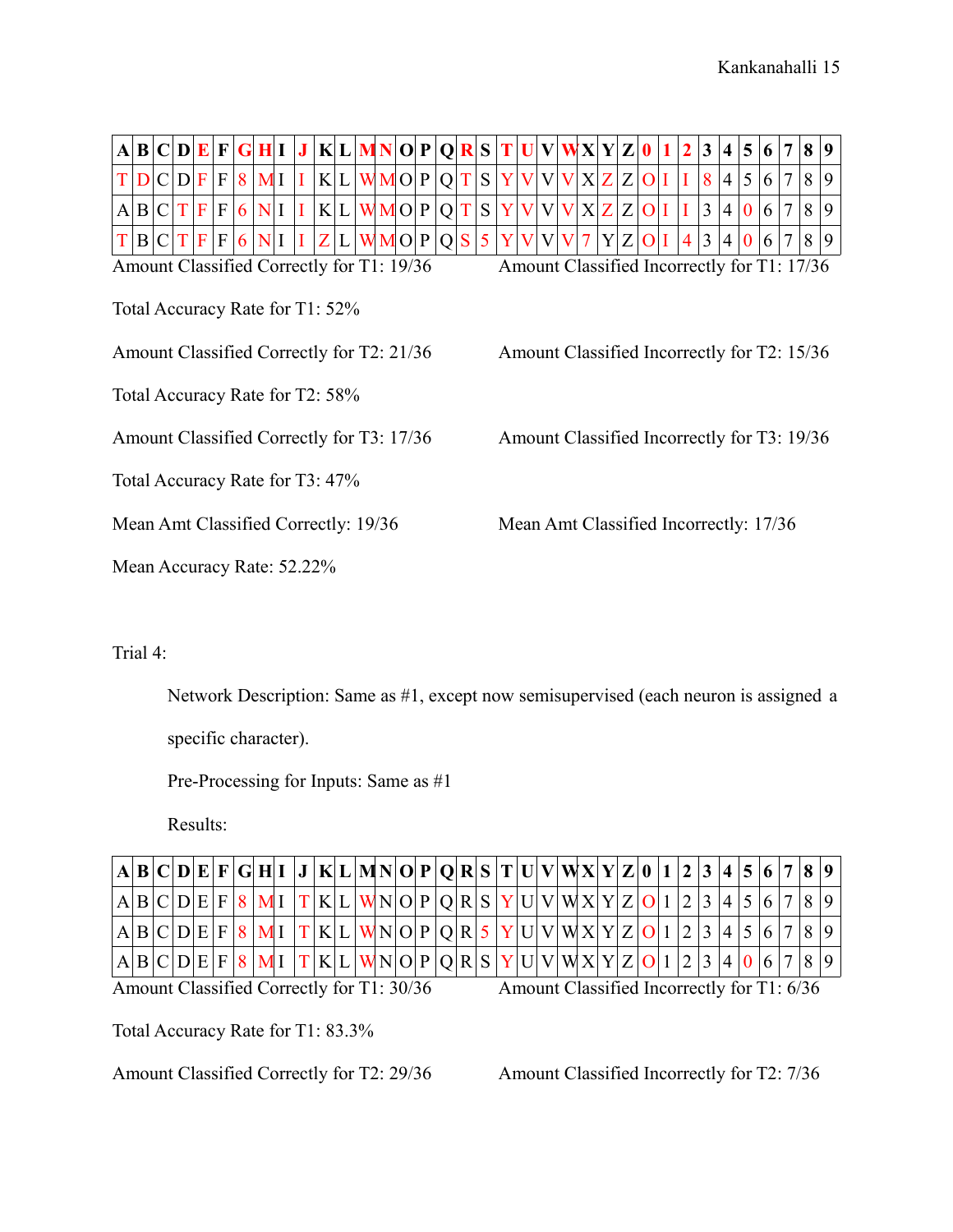| $ {\bf A} $                               | B C D E F                                                                                |   |                  |                           |   | GHI            |  | $\bf J$ |                          |     | K L MN O P O |  |       |  |          |   | R S |                                        | $\mathbf{U}$ | V |                                             | WX Y Z 0 |     |                | 2 | 3              | $\vert$         | 5              | 6 | $\overline{7}$  | 8 | 9               |
|-------------------------------------------|------------------------------------------------------------------------------------------|---|------------------|---------------------------|---|----------------|--|---------|--------------------------|-----|--------------|--|-------|--|----------|---|-----|----------------------------------------|--------------|---|---------------------------------------------|----------|-----|----------------|---|----------------|-----------------|----------------|---|-----------------|---|-----------------|
| T<br>D                                    | C D F                                                                                    |   |                  | $\mathbf{F}$              | 8 | M <sub>I</sub> |  | I       |                          | K L | WMO P        |  |       |  | 0        |   | S   | Y                                      | $\bf{V}$     | V | V                                           | X Z Z    |     | O <sub>I</sub> |   | 8 <sup>1</sup> | $\vert 4 \vert$ | 5              | 6 | $7\phantom{.0}$ | 8 | 9               |
| $\vert B \vert$<br>A                      | C                                                                                        | T | $\boldsymbol{F}$ | $\boldsymbol{\mathrm{F}}$ | 6 | N <sub>l</sub> |  |         |                          | K L |              |  | WMO P |  | $\Omega$ |   | S   |                                        |              | V |                                             | XZ       | Z   | $\Omega$       |   | 3              | 4               | $\overline{0}$ | 6 | $\overline{7}$  | 8 | 9               |
| T<br>$\vert B \vert$                      | C                                                                                        | T | $\mathbf{F}$     | $\mathbf{F}$              | 6 | N <sub>l</sub> |  |         | $\mathbf{Z}^{\parallel}$ |     |              |  | WMO P |  | O        | S | 5   |                                        | $\bf V$      | V | V                                           |          | Y Z | $\Omega$       | 4 | 3              | $\overline{4}$  | $\overline{0}$ | 6 | $\overline{7}$  | 8 | $\vert 9 \vert$ |
|                                           | Amount Classified Incorrectly for T1: 17/36<br>Amount Classified Correctly for T1: 19/36 |   |                  |                           |   |                |  |         |                          |     |              |  |       |  |          |   |     |                                        |              |   |                                             |          |     |                |   |                |                 |                |   |                 |   |                 |
|                                           | Total Accuracy Rate for T1: 52%                                                          |   |                  |                           |   |                |  |         |                          |     |              |  |       |  |          |   |     |                                        |              |   |                                             |          |     |                |   |                |                 |                |   |                 |   |                 |
|                                           | Amount Classified Correctly for T2: 21/36<br>Amount Classified Incorrectly for T2: 15/36 |   |                  |                           |   |                |  |         |                          |     |              |  |       |  |          |   |     |                                        |              |   |                                             |          |     |                |   |                |                 |                |   |                 |   |                 |
|                                           | Total Accuracy Rate for T2: 58%                                                          |   |                  |                           |   |                |  |         |                          |     |              |  |       |  |          |   |     |                                        |              |   |                                             |          |     |                |   |                |                 |                |   |                 |   |                 |
| Amount Classified Correctly for T3: 17/36 |                                                                                          |   |                  |                           |   |                |  |         |                          |     |              |  |       |  |          |   |     |                                        |              |   | Amount Classified Incorrectly for T3: 19/36 |          |     |                |   |                |                 |                |   |                 |   |                 |
| Total Accuracy Rate for T3: 47%           |                                                                                          |   |                  |                           |   |                |  |         |                          |     |              |  |       |  |          |   |     |                                        |              |   |                                             |          |     |                |   |                |                 |                |   |                 |   |                 |
| Mean Amt Classified Correctly: 19/36      |                                                                                          |   |                  |                           |   |                |  |         |                          |     |              |  |       |  |          |   |     | Mean Amt Classified Incorrectly: 17/36 |              |   |                                             |          |     |                |   |                |                 |                |   |                 |   |                 |
| Mean Accuracy Rate: 52.22%                |                                                                                          |   |                  |                           |   |                |  |         |                          |     |              |  |       |  |          |   |     |                                        |              |   |                                             |          |     |                |   |                |                 |                |   |                 |   |                 |

## Trial 4:

Network Description: Same as #1, except now semisupervised (each neuron is assigned a

specific character).

Pre-Processing for Inputs: Same as #1

Results:

| $ {\bf A} {\bf B} {\bf C} {\bf D} {\bf E} {\bf F} {\bf G} {\bf H} {\bf I}\ {\bf J}\ {\bf K} {\bf L} {\bf M}{\bf N} {\bf O} {\bf P} {\bf Q} {\bf R} {\bf S} {\bf T} {\bf U} {\bf V} {\bf W}{\bf X} {\bf Y} {\bf Z} {\bf 0}\ {\bf 1}\ {\bf 2}\ {\bf 3}\ {\bf 4}\ {\bf 5}\ {\bf 6}\ {\bf 7}\ {\bf 8}\ {\bf 9}\ {\bf 1}\ {\bf 1}\ {\bf 1}\ {\bf 1}\ {\bf Y} {\bf M} {\bf N} {\bf Y} {\bf Y} {\bf Y} {\bf Y} {\$ |  |  |  |  |  |  |  |  |  |  |  |  |  |  |  |  |  |
|-------------------------------------------------------------------------------------------------------------------------------------------------------------------------------------------------------------------------------------------------------------------------------------------------------------------------------------------------------------------------------------------------------------|--|--|--|--|--|--|--|--|--|--|--|--|--|--|--|--|--|
| $ \!\ln\! \mathrm{B} \mathrm{C} \mathrm{D} \mathrm{E} \mathrm{F} \!\!\ 8\, \mathrm{M} \!\!\ 1\, \mathrm{K} \mathrm{L} \mathrm{W} \mathrm{N} \mathrm{O} \mathrm{P} \mathrm{Q} \mathrm{R} \mathrm{S} \mathrm{Y} \mathrm{U} \mathrm{V} \mathrm{W} \mathrm{X} \mathrm{Y} \mathrm{Z} \mathrm{O} \!\!\ 1\, \!\!\ 2\, \!\!\ 3\, \!\!\ 4\, \!\!\ 5\, \!\!\ 6\, \!\!\ 7\, \!\!\ 8\, \!\!\ 9\, \!\!\ $                |  |  |  |  |  |  |  |  |  |  |  |  |  |  |  |  |  |
| $A B C D E F 8 MI T K L WN O P Q R 5 Y U V WX Y Z O 1 2 3 4 5 6 7 8 9 $                                                                                                                                                                                                                                                                                                                                     |  |  |  |  |  |  |  |  |  |  |  |  |  |  |  |  |  |
| $ \text{A}  \text{B}  \text{C}  \text{D}  \text{E}  \text{F}  \text{8}  \text{M}$ I $ \text{T}  \text{K}  \text{L}  \text{W} \text{N}  \text{O}  \text{P}  \text{Q}  \text{R}  \text{S}  \text{Y}  \text{U}  \text{V}  \text{W} \text{X}  \text{Y}  \text{Z}  \text{O} 1 2 3 4 0 6 7 8 9 $                                                                                                                  |  |  |  |  |  |  |  |  |  |  |  |  |  |  |  |  |  |

Amount Classified Correctly for T1: 30/36 Amount Classified Incorrectly for T1: 6/36

Total Accuracy Rate for T1: 83.3%

Amount Classified Correctly for T2: 29/36 Amount Classified Incorrectly for T2: 7/36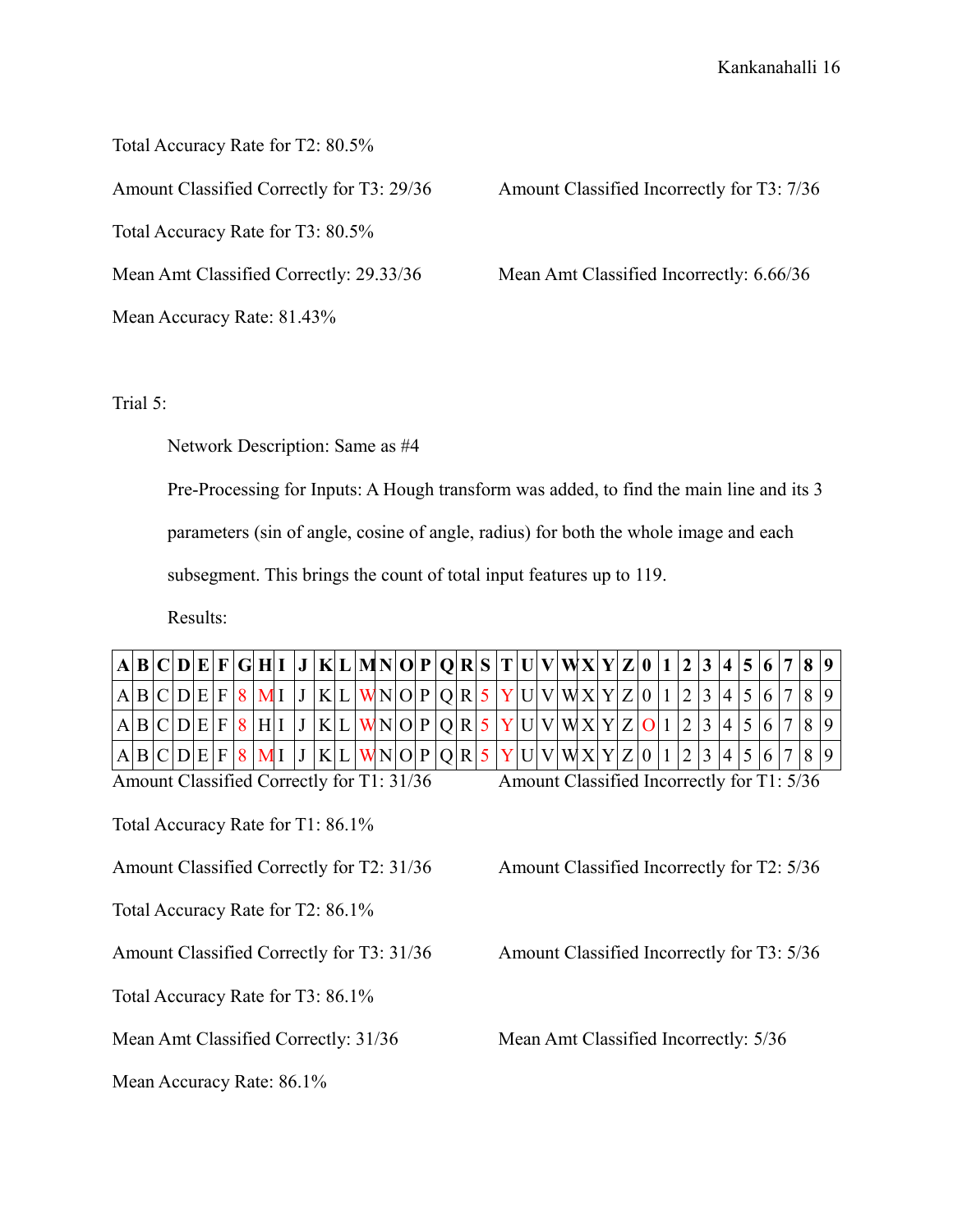Total Accuracy Rate for T2: 80.5%

Total Accuracy Rate for T3: 80.5%

Mean Accuracy Rate: 81.43%

Amount Classified Correctly for T3: 29/36 Amount Classified Incorrectly for T3: 7/36

Mean Amt Classified Correctly: 29.33/36 Mean Amt Classified Incorrectly: 6.66/36

Trial 5:

Network Description: Same as #4

Pre-Processing for Inputs: A Hough transform was added, to find the main line and its 3

parameters (sin of angle, cosine of angle, radius) for both the whole image and each

subsegment. This brings the count of total input features up to 119.

Results:

|   |                                           |  |              |                |  |     | $B C D E F G H I J K L MN O P Q R S T U V WX Y Z 0 1$ |  |  |                |       |       |        |        |  |       |                | 2 3 4 5         |                |                                            | 8 <sup>0</sup> |   |
|---|-------------------------------------------|--|--------------|----------------|--|-----|-------------------------------------------------------|--|--|----------------|-------|-------|--------|--------|--|-------|----------------|-----------------|----------------|--------------------------------------------|----------------|---|
|   | B C D E                                   |  | $\mathbf{F}$ |                |  | K L | $\vert$ WNOPQR5                                       |  |  |                | Y U V |       | WX Y Z |        |  | 0 1 2 |                | $\vert 4 \vert$ |                |                                            | 8              | 9 |
| A | B C D E                                   |  | $\mathbf{F}$ | H <sup>2</sup> |  | K L | W N  O  P  Q  R                                       |  |  | 5 <sup>1</sup> | Y U V |       |        | WX Y Z |  |       | 121            | 4 <sup>1</sup>  | 5              |                                            | 8              |   |
|   | B C D E F                                 |  |              |                |  | K L | WN O P Q R                                            |  |  |                |       | Y U V | WX Y Z |        |  |       | 2 <sup>1</sup> | 4               | 5 <sup>5</sup> |                                            | 8 <sup>1</sup> |   |
|   | Amount Classified Correctly for T1: 31/36 |  |              |                |  |     |                                                       |  |  |                |       |       |        |        |  |       |                |                 |                | Amount Classified Incorrectly for T1: 5/36 |                |   |
|   | Total Accuracy Rate for T1: 86.1%         |  |              |                |  |     |                                                       |  |  |                |       |       |        |        |  |       |                |                 |                |                                            |                |   |

Amount Classified Correctly for T2: 31/36 Amount Classified Incorrectly for T2: 5/36

Total Accuracy Rate for T2: 86.1%

Amount Classified Correctly for T3: 31/36 Amount Classified Incorrectly for T3: 5/36

Total Accuracy Rate for T3: 86.1%

Mean Amt Classified Correctly: 31/36 Mean Amt Classified Incorrectly: 5/36

Mean Accuracy Rate: 86.1%